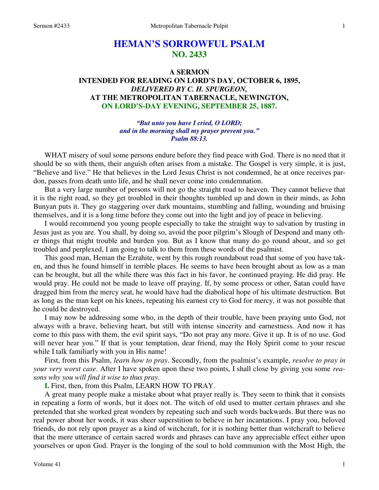# **HEMAN'S SORROWFUL PSALM NO. 2433**

# **A SERMON INTENDED FOR READING ON LORD'S DAY, OCTOBER 6, 1895,**  *DELIVERED BY C. H. SPURGEON,*  **AT THE METROPOLITAN TABERNACLE, NEWINGTON, ON LORD'S-DAY EVENING, SEPTEMBER 25, 1887.**

*"But unto you have I cried, O LORD; and in the morning shall my prayer prevent you." Psalm 88:13.* 

WHAT misery of soul some persons endure before they find peace with God. There is no need that it should be so with them, their anguish often arises from a mistake. The Gospel is very simple, it is just, "Believe and live." He that believes in the Lord Jesus Christ is not condemned, he at once receives pardon, passes from death unto life, and he shall never come into condemnation.

But a very large number of persons will not go the straight road to heaven. They cannot believe that it is the right road, so they get troubled in their thoughts tumbled up and down in their minds, as John Bunyan puts it. They go staggering over dark mountains, stumbling and falling, wounding and bruising themselves, and it is a long time before they come out into the light and joy of peace in believing.

I would recommend you young people especially to take the straight way to salvation by trusting in Jesus just as you are. You shall, by doing so, avoid the poor pilgrim's Slough of Despond and many other things that might trouble and burden you. But as I know that many do go round about, and so get troubled and perplexed, I am going to talk to them from these words of the psalmist.

This good man, Heman the Ezrahite, went by this rough roundabout road that some of you have taken, and thus he found himself in terrible places. He seems to have been brought about as low as a man can be brought, but all the while there was this fact in his favor, he continued praying. He did pray. He would pray. He could not be made to leave off praying. If, by some process or other, Satan could have dragged him from the mercy seat, he would have had the diabolical hope of his ultimate destruction. But as long as the man kept on his knees, repeating his earnest cry to God for mercy, it was not possible that he could be destroyed.

I may now be addressing some who, in the depth of their trouble, have been praying unto God, not always with a brave, believing heart, but still with intense sincerity and earnestness. And now it has come to this pass with them, the evil spirit says, "Do not pray any more. Give it up. It is of no use. God will never hear you." If that is your temptation, dear friend, may the Holy Spirit come to your rescue while I talk familiarly with you in His name!

First, from this Psalm, *learn how to pray*. Secondly, from the psalmist's example, *resolve to pray in your very worst case*. After I have spoken upon these two points, I shall close by giving you some *reasons why you will find it wise to thus pray*.

**I.** First, then, from this Psalm, LEARN HOW TO PRAY.

A great many people make a mistake about what prayer really is. They seem to think that it consists in repeating a form of words, but it does not. The witch of old used to mutter certain phrases and she pretended that she worked great wonders by repeating such and such words backwards. But there was no real power about her words, it was sheer superstition to believe in her incantations. I pray you, beloved friends, do not rely upon prayer as a kind of witchcraft, for it is nothing better than witchcraft to believe that the mere utterance of certain sacred words and phrases can have any appreciable effect either upon yourselves or upon God. Prayer is the longing of the soul to hold communion with the Most High, the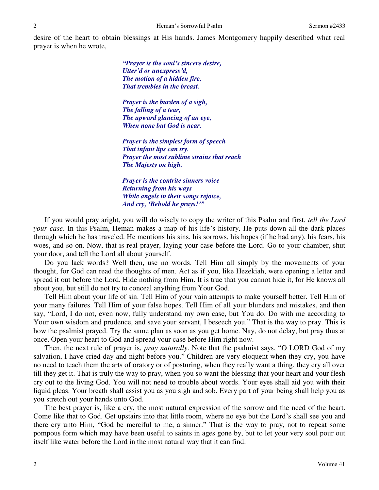desire of the heart to obtain blessings at His hands. James Montgomery happily described what real prayer is when he wrote,

> *"Prayer is the soul's sincere desire, Utter'd or unexpress'd, The motion of a hidden fire, That trembles in the breast.*

*Prayer is the burden of a sigh, The falling of a tear, The upward glancing of an eye, When none but God is near.* 

*Prayer is the simplest form of speech That infant lips can try. Prayer the most sublime strains that reach The Majesty on high.* 

*Prayer is the contrite sinners voice Returning from his ways While angels in their songs rejoice, And cry, 'Behold he prays!'"* 

If you would pray aright, you will do wisely to copy the writer of this Psalm and first, *tell the Lord your case*. In this Psalm, Heman makes a map of his life's history. He puts down all the dark places through which he has traveled. He mentions his sins, his sorrows, his hopes (if he had any), his fears, his woes, and so on. Now, that is real prayer, laying your case before the Lord. Go to your chamber, shut your door, and tell the Lord all about yourself.

Do you lack words? Well then, use no words. Tell Him all simply by the movements of your thought, for God can read the thoughts of men. Act as if you, like Hezekiah, were opening a letter and spread it out before the Lord. Hide nothing from Him. It is true that you cannot hide it, for He knows all about you, but still do not try to conceal anything from Your God.

Tell Him about your life of sin. Tell Him of your vain attempts to make yourself better. Tell Him of your many failures. Tell Him of your false hopes. Tell Him of all your blunders and mistakes, and then say, "Lord, I do not, even now, fully understand my own case, but You do. Do with me according to Your own wisdom and prudence, and save your servant, I beseech you." That is the way to pray. This is how the psalmist prayed. Try the same plan as soon as you get home. Nay, do not delay, but pray thus at once. Open your heart to God and spread your case before Him right now.

Then, the next rule of prayer is, *pray naturally*. Note that the psalmist says, "O LORD God of my salvation, I have cried day and night before you." Children are very eloquent when they cry, you have no need to teach them the arts of oratory or of posturing, when they really want a thing, they cry all over till they get it. That is truly the way to pray, when you so want the blessing that your heart and your flesh cry out to the living God. You will not need to trouble about words. Your eyes shall aid you with their liquid pleas. Your breath shall assist you as you sigh and sob. Every part of your being shall help you as you stretch out your hands unto God.

The best prayer is, like a cry, the most natural expression of the sorrow and the need of the heart. Come like that to God. Get upstairs into that little room, where no eye but the Lord's shall see you and there cry unto Him, "God be merciful to me, a sinner." That is the way to pray, not to repeat some pompous form which may have been useful to saints in ages gone by, but to let your very soul pour out itself like water before the Lord in the most natural way that it can find.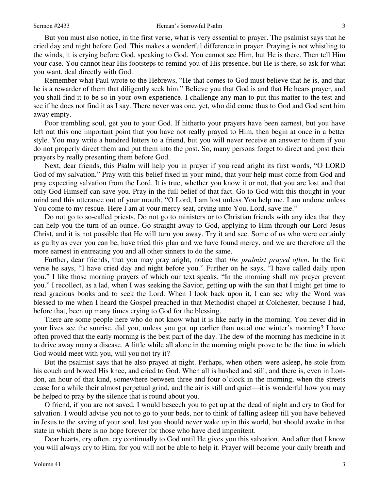But you must also notice, in the first verse, what is very essential to prayer. The psalmist says that he cried day and night before God. This makes a wonderful difference in prayer. Praying is not whistling to the winds, it is crying before God, speaking to God. You cannot see Him, but He is there. Then tell Him your case. You cannot hear His footsteps to remind you of His presence, but He is there, so ask for what you want, deal directly with God.

Remember what Paul wrote to the Hebrews, "He that comes to God must believe that he is, and that he is a rewarder of them that diligently seek him." Believe you that God is and that He hears prayer, and you shall find it to be so in your own experience. I challenge any man to put this matter to the test and see if he does not find it as I say. There never was one, yet, who did come thus to God and God sent him away empty.

Poor trembling soul, get you to your God. If hitherto your prayers have been earnest, but you have left out this one important point that you have not really prayed to Him, then begin at once in a better style. You may write a hundred letters to a friend, but you will never receive an answer to them if you do not properly direct them and put them into the post. So, many persons forget to direct and post their prayers by really presenting them before God.

Next, dear friends, this Psalm will help you in prayer if you read aright its first words, "O LORD God of my salvation." Pray with this belief fixed in your mind, that your help must come from God and pray expecting salvation from the Lord. It is true, whether you know it or not, that you are lost and that only God Himself can save you. Pray in the full belief of that fact. Go to God with this thought in your mind and this utterance out of your mouth, "O Lord, I am lost unless You help me. I am undone unless You come to my rescue. Here I am at your mercy seat, crying unto You, Lord, save me."

Do not go to so-called priests. Do not go to ministers or to Christian friends with any idea that they can help you the turn of an ounce. Go straight away to God, applying to Him through our Lord Jesus Christ, and it is not possible that He will turn you away. Try it and see. Some of us who were certainly as guilty as ever you can be, have tried this plan and we have found mercy, and we are therefore all the more earnest in entreating you and all other sinners to do the same.

Further, dear friends, that you may pray aright, notice that *the psalmist prayed often*. In the first verse he says, "I have cried day and night before you." Further on he says, "I have called daily upon you." I like those morning prayers of which our text speaks, "In the morning shall my prayer prevent you." I recollect, as a lad, when I was seeking the Savior, getting up with the sun that I might get time to read gracious books and to seek the Lord. When I look back upon it, I can see why the Word was blessed to me when I heard the Gospel preached in that Methodist chapel at Colchester, because I had, before that, been up many times crying to God for the blessing.

There are some people here who do not know what it is like early in the morning. You never did in your lives see the sunrise, did you, unless you got up earlier than usual one winter's morning? I have often proved that the early morning is the best part of the day. The dew of the morning has medicine in it to drive away many a disease. A little while all alone in the morning might prove to be the time in which God would meet with you, will you not try it?

But the psalmist says that he also prayed at night. Perhaps, when others were asleep, he stole from his couch and bowed His knee, and cried to God. When all is hushed and still, and there is, even in London, an hour of that kind, somewhere between three and four o'clock in the morning, when the streets cease for a while their almost perpetual grind, and the air is still and quiet—it is wonderful how you may be helped to pray by the silence that is round about you.

O friend, if you are not saved, I would beseech you to get up at the dead of night and cry to God for salvation. I would advise you not to go to your beds, nor to think of falling asleep till you have believed in Jesus to the saving of your soul, lest you should never wake up in this world, but should awake in that state in which there is no hope forever for those who have died impenitent.

Dear hearts, cry often, cry continually to God until He gives you this salvation. And after that I know you will always cry to Him, for you will not be able to help it. Prayer will become your daily breath and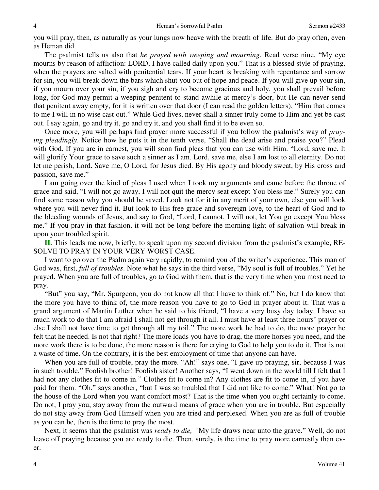you will pray, then, as naturally as your lungs now heave with the breath of life. But do pray often, even as Heman did.

The psalmist tells us also that *he prayed with weeping and mourning*. Read verse nine, "My eye mourns by reason of affliction: LORD, I have called daily upon you." That is a blessed style of praying, when the prayers are salted with penitential tears. If your heart is breaking with repentance and sorrow for sin, you will break down the bars which shut you out of hope and peace. If you will give up your sin, if you mourn over your sin, if you sigh and cry to become gracious and holy, you shall prevail before long, for God may permit a weeping penitent to stand awhile at mercy's door, but He can never send that penitent away empty, for it is written over that door (I can read the golden letters), "Him that comes to me I will in no wise cast out." While God lives, never shall a sinner truly come to Him and yet be cast out. I say again, go and try it, go and try it, and you shall find it to be even so.

Once more, you will perhaps find prayer more successful if you follow the psalmist's way of *praying pleadingly*. Notice how he puts it in the tenth verse, "Shall the dead arise and praise you?" Plead with God. If you are in earnest, you will soon find pleas that you can use with Him. "Lord, save me. It will glorify Your grace to save such a sinner as I am. Lord, save me, else I am lost to all eternity. Do not let me perish, Lord. Save me, O Lord, for Jesus died. By His agony and bloody sweat, by His cross and passion, save me."

I am going over the kind of pleas I used when I took my arguments and came before the throne of grace and said, "I will not go away, I will not quit the mercy seat except You bless me." Surely you can find some reason why you should be saved. Look not for it in any merit of your own, else you will look where you will never find it. But look to His free grace and sovereign love, to the heart of God and to the bleeding wounds of Jesus, and say to God, "Lord, I cannot, I will not, let You go except You bless me." If you pray in that fashion, it will not be long before the morning light of salvation will break in upon your troubled spirit.

**II.** This leads me now, briefly, to speak upon my second division from the psalmist's example, RE-SOLVE TO PRAY IN YOUR VERY WORST CASE.

I want to go over the Psalm again very rapidly, to remind you of the writer's experience. This man of God was, first, *full of troubles*. Note what he says in the third verse, "My soul is full of troubles." Yet he prayed. When you are full of troubles, go to God with them, that is the very time when you most need to pray.

"But" you say, "Mr. Spurgeon, you do not know all that I have to think of." No, but I do know that the more you have to think of, the more reason you have to go to God in prayer about it. That was a grand argument of Martin Luther when he said to his friend, "I have a very busy day today. I have so much work to do that I am afraid I shall not get through it all. I must have at least three hours' prayer or else I shall not have time to get through all my toil." The more work he had to do, the more prayer he felt that he needed. Is not that right? The more loads you have to drag, the more horses you need, and the more work there is to be done, the more reason is there for crying to God to help you to do it. That is not a waste of time. On the contrary, it is the best employment of time that anyone can have.

When you are full of trouble, pray the more. "Ah!" says one, "I gave up praying, sir, because I was in such trouble." Foolish brother! Foolish sister! Another says, "I went down in the world till I felt that I had not any clothes fit to come in." Clothes fit to come in? Any clothes are fit to come in, if you have paid for them. "Oh." says another, "but I was so troubled that I did not like to come." What! Not go to the house of the Lord when you want comfort most? That is the time when you ought certainly to come. Do not, I pray you, stay away from the outward means of grace when you are in trouble. But especially do not stay away from God Himself when you are tried and perplexed. When you are as full of trouble as you can be, then is the time to pray the most.

Next, it seems that the psalmist was *ready to die, "*My life draws near unto the grave." Well, do not leave off praying because you are ready to die. Then, surely, is the time to pray more earnestly than ever.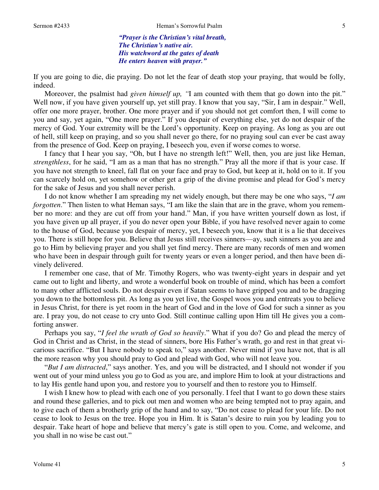*"Prayer is the Christian's vital breath, The Christian's native air. His watchword at the gates of death He enters heaven with prayer."* 

If you are going to die, die praying. Do not let the fear of death stop your praying, that would be folly, indeed.

Moreover, the psalmist had *given himself up*, "I am counted with them that go down into the pit." Well now, if you have given yourself up, yet still pray. I know that you say, "Sir, I am in despair." Well, offer one more prayer, brother. One more prayer and if you should not get comfort then, I will come to you and say, yet again, "One more prayer." If you despair of everything else, yet do not despair of the mercy of God. Your extremity will be the Lord's opportunity. Keep on praying. As long as you are out of hell, still keep on praying, and so you shall never go there, for no praying soul can ever be cast away from the presence of God. Keep on praying, I beseech you, even if worse comes to worse.

I fancy that I hear you say, "Oh, but I have no strength left!" Well, then, you are just like Heman, *strengthless*, for he said, "I am as a man that has no strength." Pray all the more if that is your case. If you have not strength to kneel, fall flat on your face and pray to God, but keep at it, hold on to it. If you can scarcely hold on, yet somehow or other get a grip of the divine promise and plead for God's mercy for the sake of Jesus and you shall never perish.

I do not know whether I am spreading my net widely enough, but there may be one who says, "*I am forgotten*." Then listen to what Heman says, "I am like the slain that are in the grave, whom you remember no more: and they are cut off from your hand." Man, if you have written yourself down as lost, if you have given up all prayer, if you do never open your Bible, if you have resolved never again to come to the house of God, because you despair of mercy, yet, I beseech you, know that it is a lie that deceives you. There is still hope for you. Believe that Jesus still receives sinners—ay, such sinners as you are and go to Him by believing prayer and you shall yet find mercy. There are many records of men and women who have been in despair through guilt for twenty years or even a longer period, and then have been divinely delivered.

I remember one case, that of Mr. Timothy Rogers, who was twenty-eight years in despair and yet came out to light and liberty, and wrote a wonderful book on trouble of mind, which has been a comfort to many other afflicted souls. Do not despair even if Satan seems to have gripped you and to be dragging you down to the bottomless pit. As long as you yet live, the Gospel woos you and entreats you to believe in Jesus Christ, for there is yet room in the heart of God and in the love of God for such a sinner as you are. I pray you, do not cease to cry unto God. Still continue calling upon Him till He gives you a comforting answer.

Perhaps you say, "*I feel the wrath of God so heavily*." What if you do? Go and plead the mercy of God in Christ and as Christ, in the stead of sinners, bore His Father's wrath, go and rest in that great vicarious sacrifice. "But I have nobody to speak to," says another. Never mind if you have not, that is all the more reason why you should pray to God and plead with God, who will not leave you.

"*But I am distracted*," says another. Yes, and you will be distracted, and I should not wonder if you went out of your mind unless you go to God as you are, and implore Him to look at your distractions and to lay His gentle hand upon you, and restore you to yourself and then to restore you to Himself.

I wish I knew how to plead with each one of you personally. I feel that I want to go down these stairs and round these galleries, and to pick out men and women who are being tempted not to pray again, and to give each of them a brotherly grip of the hand and to say, "Do not cease to plead for your life. Do not cease to look to Jesus on the tree. Hope you in Him. It is Satan's desire to ruin you by leading you to despair. Take heart of hope and believe that mercy's gate is still open to you. Come, and welcome, and you shall in no wise be cast out."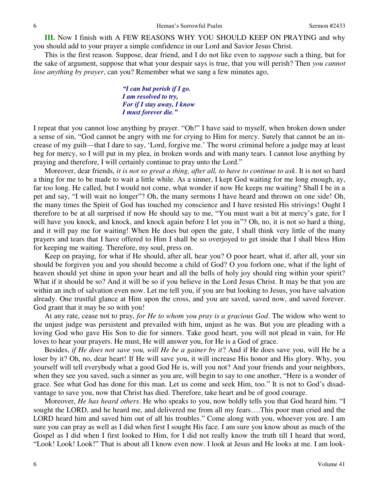**III.** Now I finish with A FEW REASONS WHY YOU SHOULD KEEP ON PRAYING and why you should add to your prayer a simple confidence in our Lord and Savior Jesus Christ.

This is the first reason. Suppose, dear friend, and I do not like even to *suppose* such a thing, but for the sake of argument, suppose that what your despair says is true, that you will perish? Then *you cannot lose anything by prayer*, can you? Remember what we sang a few minutes ago,

> *"I can but perish if I go. I am resolved to try, For if I stay away, I know I must forever die."*

I repeat that you cannot lose anything by prayer. "Oh!" I have said to myself, when broken down under a sense of sin, "God cannot be angry with me for crying to Him for mercy. Surely that cannot be an increase of my guilt—that I dare to say, 'Lord, forgive me.' The worst criminal before a judge may at least beg for mercy, so I will put in my plea, in broken words and with many tears. I cannot lose anything by praying and therefore, I will certainly continue to pray unto the Lord."

Moreover, dear friends, *it is not so great a thing, after all, to have to continue to ask*. It is not so hard a thing for me to be made to wait a little while. As a sinner, I kept God waiting for me long enough, ay, far too long. He called, but I would not come, what wonder if now He keeps me waiting? Shall I be in a pet and say, "I will wait no longer"? Oh, the many sermons I have heard and thrown on one side! Oh, the many times the Spirit of God has touched my conscience and I have resisted His strivings! Ought I therefore to be at all surprised if now He should say to me, "You must wait a bit at mercy's gate, for I will have you knock, and knock, and knock again before I let you in"? Oh, no, it is not so hard a thing, and it will pay me for waiting! When He does but open the gate, I shall think very little of the many prayers and tears that I have offered to Him I shall be so overjoyed to get inside that I shall bless Him for keeping me waiting. Therefore, my soul, press on.

Keep on praying, for what if He should, after all, hear you? O poor heart, what if, after all, your sin should be forgiven you and you should become a child of God? O you forlorn one, what if the light of heaven should yet shine in upon your heart and all the bells of holy joy should ring within your spirit? What if it should be so? And it will be so if you believe in the Lord Jesus Christ. It may be that you are within an inch of salvation even now. Let me tell you, if you are but looking to Jesus, you have salvation already. One trustful glance at Him upon the cross, and you are saved, saved now, and saved forever. God grant that it may be so with you!

At any rate, cease not to pray, *for He to whom you pray is a gracious God*. The widow who went to the unjust judge was persistent and prevailed with him, unjust as he was. But you are pleading with a loving God who gave His Son to die for sinners. Take good heart, you will not plead in vain, for He loves to hear your prayers. He must, He will answer you, for He is a God of grace.

Besides, *if He does not save you, will He be a gainer by it*? And if He does save you, will He be a loser by it? Oh, no, dear heart! If He will save you, it will increase His honor and His glory. Why, you yourself will tell everybody what a good God He is, will you not? And your friends and your neighbors, when they see you saved, such a sinner as you are, will begin to say to one another, "Here is a wonder of grace. See what God has done for this man. Let us come and seek Him, too." It is not to God's disadvantage to save you, now that Christ has died. Therefore, take heart and be of good courage.

Moreover, *He has heard others*. He who speaks to you, now boldly tells you that God heard him. "I sought the LORD, and he heard me, and delivered me from all my fears….This poor man cried and the LORD heard him and saved him out of all his troubles." Come along with you, whoever you are. I am sure you can pray as well as I did when first I sought His face. I am sure you know about as much of the Gospel as I did when I first looked to Him, for I did not really know the truth till I heard that word, "Look! Look! Look!" That is about all I know even now. I look at Jesus and He looks at me. I am look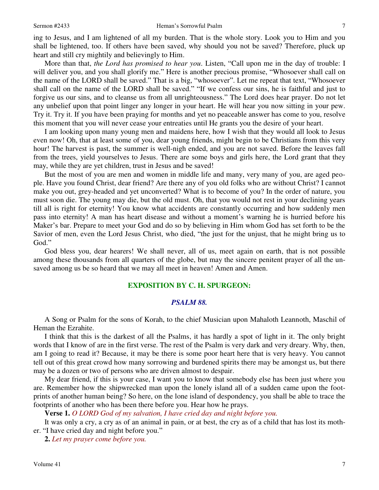ing to Jesus, and I am lightened of all my burden. That is the whole story. Look you to Him and you shall be lightened, too. If others have been saved, why should you not be saved? Therefore, pluck up heart and still cry mightily and believingly to Him.

More than that, *the Lord has promised to hear you*. Listen, "Call upon me in the day of trouble: I will deliver you, and you shall glorify me." Here is another precious promise, "Whosoever shall call on the name of the LORD shall be saved." That is a big, "whosoever". Let me repeat that text, "Whosoever shall call on the name of the LORD shall be saved." "If we confess our sins, he is faithful and just to forgive us our sins, and to cleanse us from all unrighteousness." The Lord does hear prayer. Do not let any unbelief upon that point linger any longer in your heart. He will hear you now sitting in your pew. Try it. Try it. If you have been praying for months and yet no peaceable answer has come to you, resolve this moment that you will never cease your entreaties until He grants you the desire of your heart.

I am looking upon many young men and maidens here, how I wish that they would all look to Jesus even now! Oh, that at least some of you, dear young friends, might begin to be Christians from this very hour! The harvest is past, the summer is well-nigh ended, and you are not saved. Before the leaves fall from the trees, yield yourselves to Jesus. There are some boys and girls here, the Lord grant that they may, while they are yet children, trust in Jesus and be saved!

But the most of you are men and women in middle life and many, very many of you, are aged people. Have you found Christ, dear friend? Are there any of you old folks who are without Christ? I cannot make you out, grey-headed and yet unconverted? What is to become of you? In the order of nature, you must soon die. The young may die, but the old must. Oh, that you would not rest in your declining years till all is right for eternity! You know what accidents are constantly occurring and how suddenly men pass into eternity! A man has heart disease and without a moment's warning he is hurried before his Maker's bar. Prepare to meet your God and do so by believing in Him whom God has set forth to be the Savior of men, even the Lord Jesus Christ, who died, "the just for the unjust, that he might bring us to God."

God bless you, dear hearers! We shall never, all of us, meet again on earth, that is not possible among these thousands from all quarters of the globe, but may the sincere penitent prayer of all the unsaved among us be so heard that we may all meet in heaven! Amen and Amen.

## **EXPOSITION BY C. H. SPURGEON:**

### *PSALM 88.*

A Song or Psalm for the sons of Korah, to the chief Musician upon Mahaloth Leannoth, Maschil of Heman the Ezrahite.

I think that this is the darkest of all the Psalms, it has hardly a spot of light in it. The only bright words that I know of are in the first verse. The rest of the Psalm is very dark and very dreary. Why, then, am I going to read it? Because, it may be there is some poor heart here that is very heavy. You cannot tell out of this great crowd how many sorrowing and burdened spirits there may be amongst us, but there may be a dozen or two of persons who are driven almost to despair.

My dear friend, if this is your case, I want you to know that somebody else has been just where you are. Remember how the shipwrecked man upon the lonely island all of a sudden came upon the footprints of another human being? So here, on the lone island of despondency, you shall be able to trace the footprints of another who has been there before you. Hear how he prays.

**Verse 1.** *O LORD God of my salvation, I have cried day and night before you.* 

It was only a cry, a cry as of an animal in pain, or at best, the cry as of a child that has lost its mother. "I have cried day and night before you."

**2.** *Let my prayer come before you.*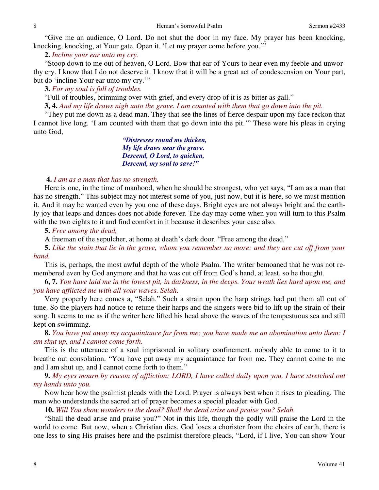"Give me an audience, O Lord. Do not shut the door in my face. My prayer has been knocking, knocking, knocking, at Your gate. Open it. 'Let my prayer come before you.'"

**2.** *Incline your ear unto my cry.* 

"Stoop down to me out of heaven, O Lord. Bow that ear of Yours to hear even my feeble and unworthy cry. I know that I do not deserve it. I know that it will be a great act of condescension on Your part, but do 'incline Your ear unto my cry.'"

**3.** *For my soul is full of troubles.* 

"Full of troubles, brimming over with grief, and every drop of it is as bitter as gall."

**3, 4.** *And my life draws nigh unto the grave. I am counted with them that go down into the pit.* 

"They put me down as a dead man. They that see the lines of fierce despair upon my face reckon that I cannot live long. 'I am counted with them that go down into the pit.'" These were his pleas in crying unto God,

> *"Distresses round me thicken, My life draws near the grave. Descend, O Lord, to quicken, Descend, my soul to save!"*

#### **4.** *I am as a man that has no strength.*

Here is one, in the time of manhood, when he should be strongest, who yet says, "I am as a man that has no strength." This subject may not interest some of you, just now, but it is here, so we must mention it. And it may be wanted even by you one of these days. Bright eyes are not always bright and the earthly joy that leaps and dances does not abide forever. The day may come when you will turn to this Psalm with the two eights to it and find comfort in it because it describes your case also.

#### **5.** *Free among the dead,*

A freeman of the sepulcher, at home at death's dark door. "Free among the dead,"

**5.** *Like the slain that lie in the grave, whom you remember no more: and they are cut off from your hand.* 

This is, perhaps, the most awful depth of the whole Psalm. The writer bemoaned that he was not remembered even by God anymore and that he was cut off from God's hand, at least, so he thought.

**6, 7.** *You have laid me in the lowest pit, in darkness, in the deeps. Your wrath lies hard upon me, and you have afflicted me with all your waves. Selah.* 

Very properly here comes a, "Selah." Such a strain upon the harp strings had put them all out of tune. So the players had notice to retune their harps and the singers were bid to lift up the strain of their song. It seems to me as if the writer here lifted his head above the waves of the tempestuous sea and still kept on swimming.

**8.** *You have put away my acquaintance far from me; you have made me an abomination unto them: I am shut up, and I cannot come forth.* 

This is the utterance of a soul imprisoned in solitary confinement, nobody able to come to it to breathe out consolation. "You have put away my acquaintance far from me. They cannot come to me and I am shut up, and I cannot come forth to them."

**9.** *My eyes mourn by reason of affliction: LORD, I have called daily upon you, I have stretched out my hands unto you.* 

Now hear how the psalmist pleads with the Lord. Prayer is always best when it rises to pleading. The man who understands the sacred art of prayer becomes a special pleader with God.

**10.** *Will You show wonders to the dead? Shall the dead arise and praise you? Selah.* 

"Shall the dead arise and praise you?" Not in this life, though the godly will praise the Lord in the world to come. But now, when a Christian dies, God loses a chorister from the choirs of earth, there is one less to sing His praises here and the psalmist therefore pleads, "Lord, if I live, You can show Your